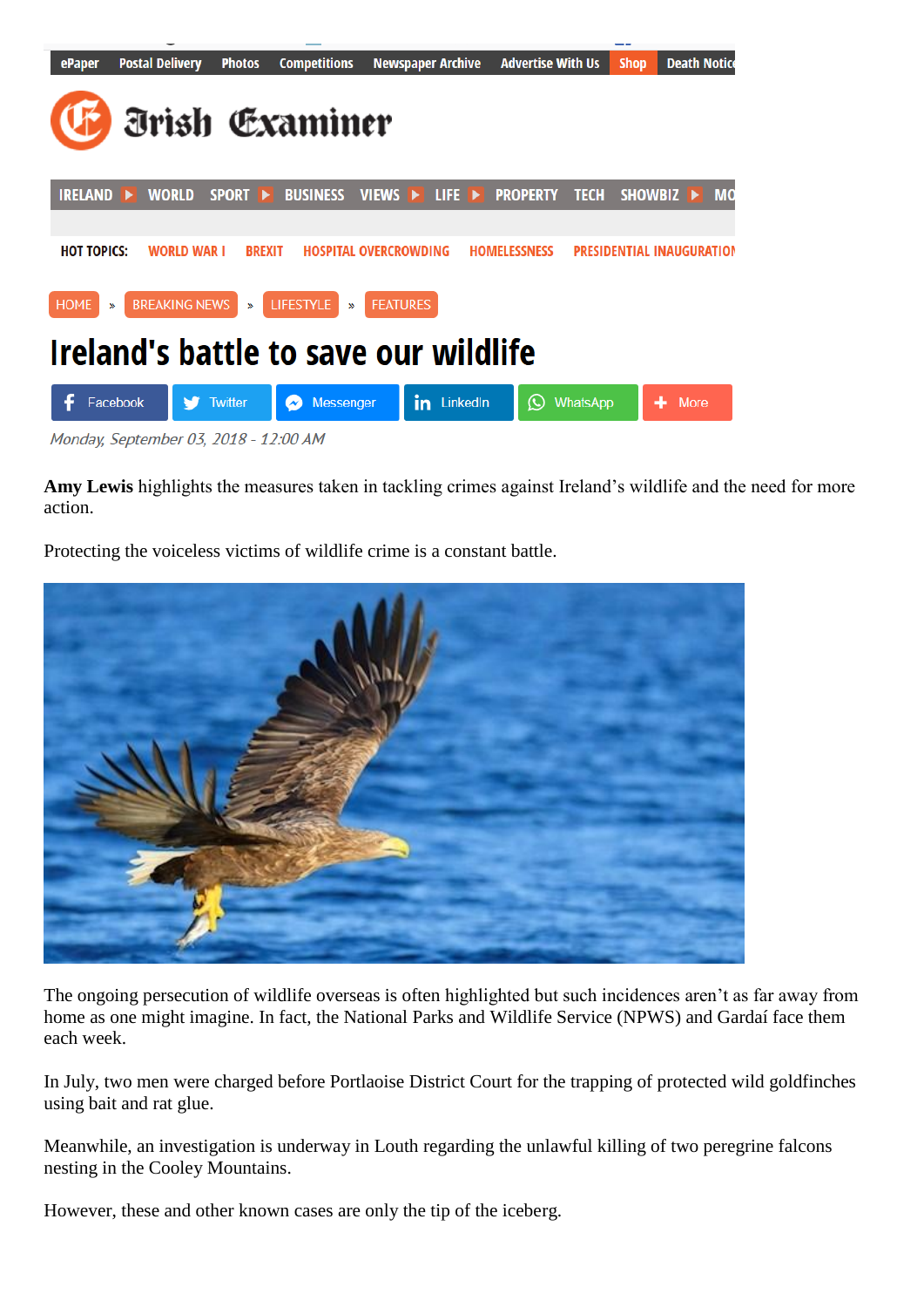| ePaper                                                                                     | <b>Postal Delivery</b> | <b>Photos</b>           | <b>Competitions</b>                       |                              | <b>Newspaper Archive</b> |  | <b>Advertise With Us</b> |                 | <b>Shop</b>                      | <b>Death Notice</b> |           |
|--------------------------------------------------------------------------------------------|------------------------|-------------------------|-------------------------------------------|------------------------------|--------------------------|--|--------------------------|-----------------|----------------------------------|---------------------|-----------|
| <b><i><u><u><b></b>Examiner</u></u></i></b>                                                |                        |                         |                                           |                              |                          |  |                          |                 |                                  |                     |           |
| <b>IRELAND</b>                                                                             | <b>WORLD</b><br>▪      | SPORT <b>E</b>          | <b>BUSINESS</b>                           | VIEWS                        | $L$ if $E \rightarrow$   |  | <b>PROPERTY</b>          | <b>TECH</b>     | SHOWBIZ ▶                        |                     | <b>MO</b> |
|                                                                                            |                        |                         |                                           |                              |                          |  |                          |                 |                                  |                     |           |
| <b>HOT TOPICS:</b>                                                                         | <b>WORLD WAR I</b>     | <b>BREXIT</b>           |                                           | <b>HOSPITAL OVERCROWDING</b> |                          |  | <b>HOMELESSNESS</b>      |                 | <b>PRESIDENTIAL INAUGURATION</b> |                     |           |
| <b>BREAKING NEWS</b><br><b>LIFESTYLE</b><br><b>FEATURES</b><br><b>HOME</b><br>≫<br>≫<br>X) |                        |                         |                                           |                              |                          |  |                          |                 |                                  |                     |           |
| Ireland's battle to save our wildlife                                                      |                        |                         |                                           |                              |                          |  |                          |                 |                                  |                     |           |
| ÷                                                                                          | Facebook               | <b>Twitter</b><br>27.22 | <b>Messenger</b><br>$\tilde{\phantom{a}}$ |                              | in<br>LinkedIn           |  | $\rm \odot$              | <b>WhatsApp</b> |                                  | More                |           |

Monday, September 03, 2018 - 12:00 AM

**Amy Lewis** highlights the measures taken in tackling crimes against Ireland"s wildlife and the need for more action.

Protecting the voiceless victims of wildlife crime is a constant battle.



The ongoing persecution of wildlife overseas is often highlighted but such incidences aren"t as far away from home as one might imagine. In fact, the National Parks and Wildlife Service (NPWS) and Gardaí face them each week.

In July, two men were charged before Portlaoise District Court for the trapping of protected wild goldfinches using bait and rat glue.

Meanwhile, an investigation is underway in Louth regarding the unlawful killing of two peregrine falcons nesting in the Cooley Mountains.

However, these and other known cases are only the tip of the iceberg.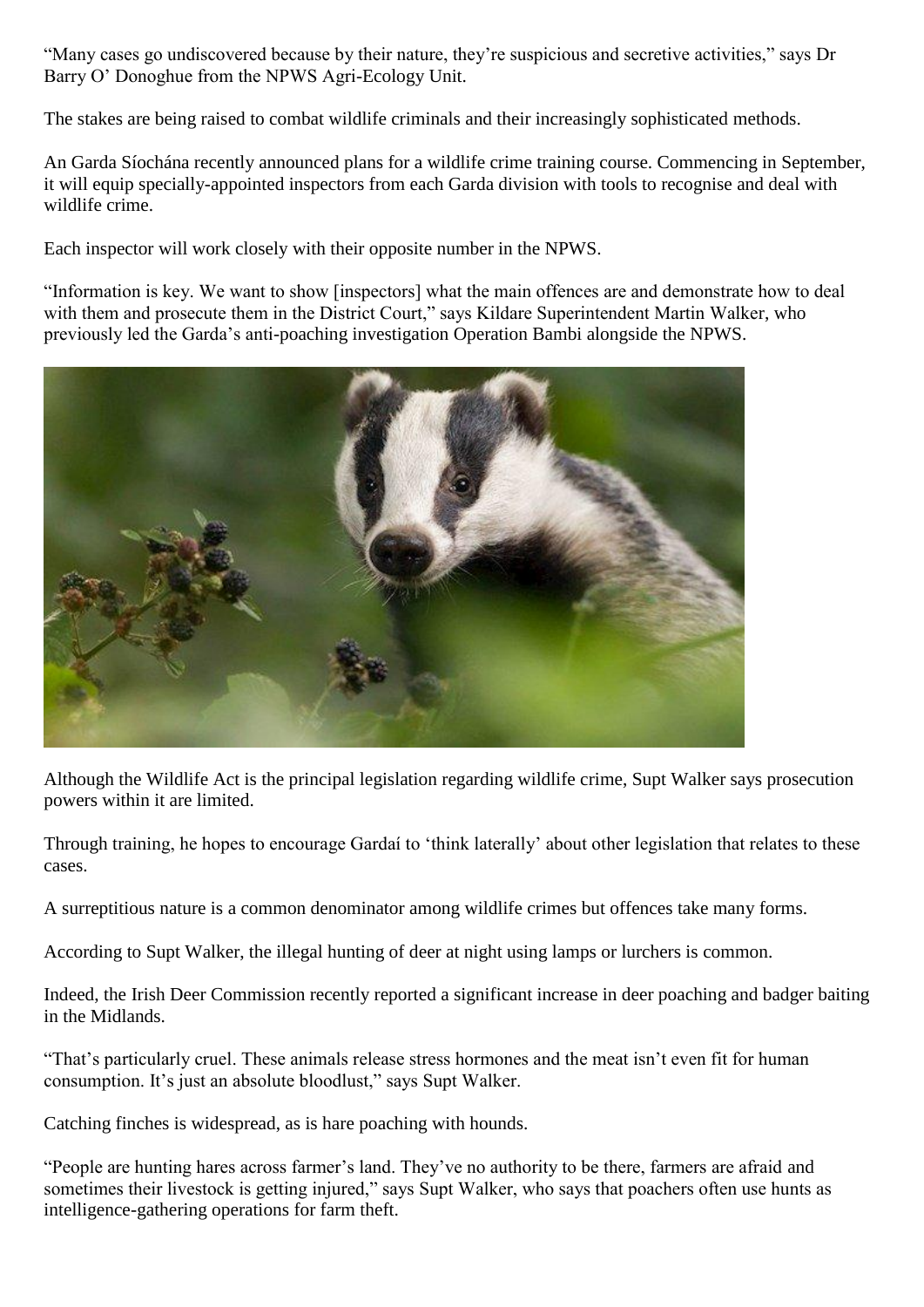"Many cases go undiscovered because by their nature, they"re suspicious and secretive activities," says Dr Barry O" Donoghue from the NPWS Agri-Ecology Unit.

The stakes are being raised to combat wildlife criminals and their increasingly sophisticated methods.

An Garda Síochána recently announced plans for a wildlife crime training course. Commencing in September, it will equip specially-appointed inspectors from each Garda division with tools to recognise and deal with wildlife crime.

Each inspector will work closely with their opposite number in the NPWS.

"Information is key. We want to show [inspectors] what the main offences are and demonstrate how to deal with them and prosecute them in the District Court," says Kildare Superintendent Martin Walker, who previously led the Garda"s anti-poaching investigation Operation Bambi alongside the NPWS.



Although the Wildlife Act is the principal legislation regarding wildlife crime, Supt Walker says prosecution powers within it are limited.

Through training, he hopes to encourage Gardaí to "think laterally" about other legislation that relates to these cases.

A surreptitious nature is a common denominator among wildlife crimes but offences take many forms.

According to Supt Walker, the illegal hunting of deer at night using lamps or lurchers is common.

Indeed, the Irish Deer Commission recently reported a significant increase in deer poaching and badger baiting in the Midlands.

"That's particularly cruel. These animals release stress hormones and the meat isn't even fit for human consumption. It"s just an absolute bloodlust," says Supt Walker.

Catching finches is widespread, as is hare poaching with hounds.

"People are hunting hares across farmer"s land. They"ve no authority to be there, farmers are afraid and sometimes their livestock is getting injured," says Supt Walker, who says that poachers often use hunts as intelligence-gathering operations for farm theft.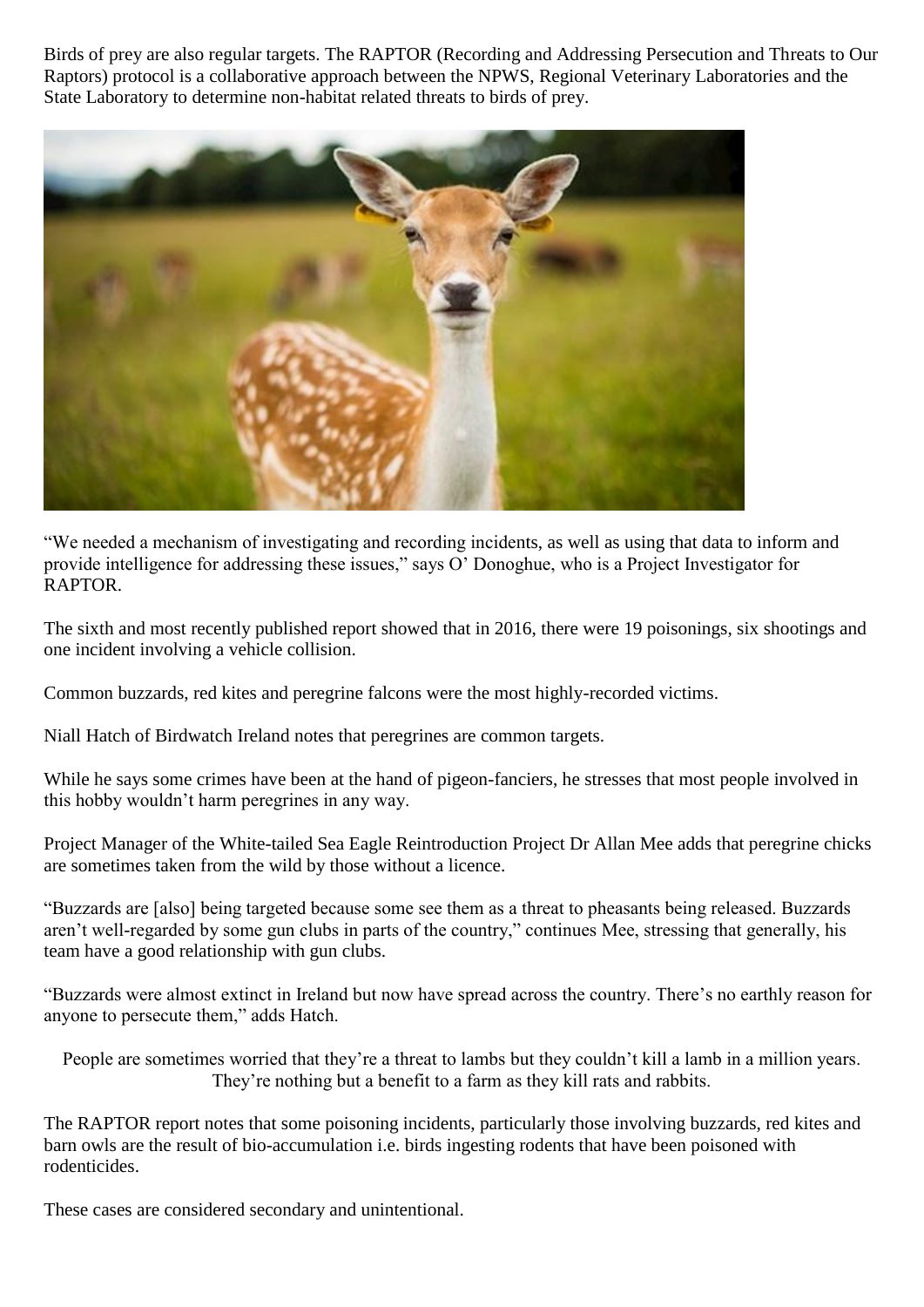Birds of prey are also regular targets. The RAPTOR (Recording and Addressing Persecution and Threats to Our Raptors) protocol is a collaborative approach between the NPWS, Regional Veterinary Laboratories and the State Laboratory to determine non-habitat related threats to birds of prey.



"We needed a mechanism of investigating and recording incidents, as well as using that data to inform and provide intelligence for addressing these issues," says O" Donoghue, who is a Project Investigator for RAPTOR.

The sixth and most recently published report showed that in 2016, there were 19 poisonings, six shootings and one incident involving a vehicle collision.

Common buzzards, red kites and peregrine falcons were the most highly-recorded victims.

Niall Hatch of Birdwatch Ireland notes that peregrines are common targets.

While he says some crimes have been at the hand of pigeon-fanciers, he stresses that most people involved in this hobby wouldn"t harm peregrines in any way.

Project Manager of the White-tailed Sea Eagle Reintroduction Project Dr Allan Mee adds that peregrine chicks are sometimes taken from the wild by those without a licence.

"Buzzards are [also] being targeted because some see them as a threat to pheasants being released. Buzzards aren"t well-regarded by some gun clubs in parts of the country," continues Mee, stressing that generally, his team have a good relationship with gun clubs.

"Buzzards were almost extinct in Ireland but now have spread across the country. There"s no earthly reason for anyone to persecute them," adds Hatch.

```
People are sometimes worried that they're a threat to lambs but they couldn't kill a lamb in a million years.
        They"re nothing but a benefit to a farm as they kill rats and rabbits.
```
The RAPTOR report notes that some poisoning incidents, particularly those involving buzzards, red kites and barn owls are the result of bio-accumulation i.e. birds ingesting rodents that have been poisoned with rodenticides.

These cases are considered secondary and unintentional.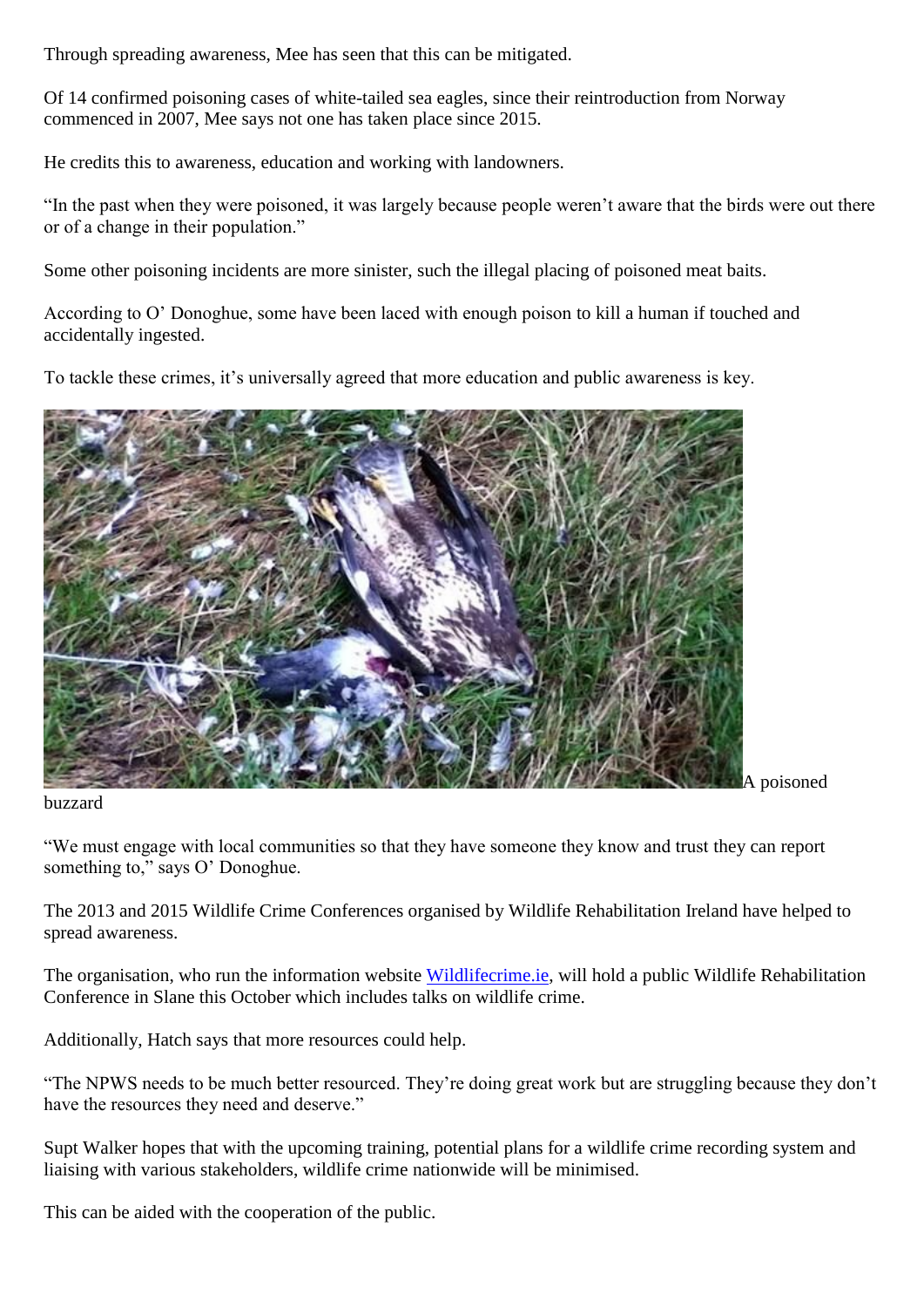Through spreading awareness, Mee has seen that this can be mitigated.

Of 14 confirmed poisoning cases of white-tailed sea eagles, since their reintroduction from Norway commenced in 2007, Mee says not one has taken place since 2015.

He credits this to awareness, education and working with landowners.

"In the past when they were poisoned, it was largely because people weren"t aware that the birds were out there or of a change in their population."

Some other poisoning incidents are more sinister, such the illegal placing of poisoned meat baits.

According to O" Donoghue, some have been laced with enough poison to kill a human if touched and accidentally ingested.

To tackle these crimes, it's universally agreed that more education and public awareness is key.



buzzard

A poisoned

"We must engage with local communities so that they have someone they know and trust they can report something to," says O' Donoghue.

The 2013 and 2015 Wildlife Crime Conferences organised by Wildlife Rehabilitation Ireland have helped to spread awareness.

The organisation, who run the information website [Wildlifecrime.ie,](http://wildlifecrime.ie/) will hold a public Wildlife Rehabilitation Conference in Slane this October which includes talks on wildlife crime.

Additionally, Hatch says that more resources could help.

"The NPWS needs to be much better resourced. They"re doing great work but are struggling because they don"t have the resources they need and deserve."

Supt Walker hopes that with the upcoming training, potential plans for a wildlife crime recording system and liaising with various stakeholders, wildlife crime nationwide will be minimised.

This can be aided with the cooperation of the public.